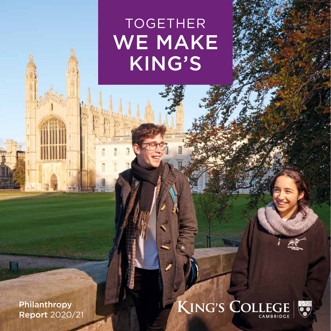# TOGETHER WE MAKE KING'S

Philanthropy Report 2020/21

 $\mathcal{N}$ 

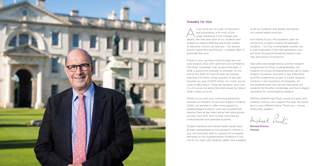

#### THANKS TO YOU

S we come out of a year of disruption<br>and uncertainty, with most of the<br>usual milestones in the College year and uncertainty, with most of the usual milestones in the College year absent, the lives and work of our students and academics heavily affected and King's unable to welcome visitors, we owe you – our donors, alumni, supporters and friends – a greater debt of gratitude than ever.

Thanks to you, we have come through and can look towards 2022 with optimism and confidence. The King's Campaign, that we launched back in 2018, is going from strength to strength. At the end of the 2020–21 financial year we marked reaching £75 million, three-quarters of the way towards our goal of £100 million. As I write, we are close to £80 million. These are fantastic sums, but it is of course not about the total raised, but about what it helps us to do.

Thanks to you and your continuing generosity towards our Student Access and Support Initiative (SASI), we are able to offer more support to disadvantaged students, with new programmes helping them at key steps along their educational journey, from sixth form to their time here as undergraduate and graduate students.

Student hardship and mental health issues have all been exacerbated by the pandemic; thanks to you, we have been able to support the increased demands on the Supplementary Exhibition Fund, one of our most vital hardship safety nets available

Michael Proctor Provost

to all our students, and greatly strengthen our mental health provision.

And thanks to you, this academic year we will be fully or partly funding 90 graduate students – not only a remarkable number, but a vital investment in the next generation who will drive the ground-breaking research and new discoveries of tomorrow.

New gifts have established a summer research programme for King's undergraduates, the creation of a King's Entrepreneurship Lab to foster student innovation, and both a new Fellowship and PhD studentship as part of a pilot research initiative in the economics of inequality. All this expands both how we can help equip our students for life after Cambridge, and the College's reputation for world-leading research.

Without philanthropy King's would not exist, and certainly without your support this year we would be in a very different place. Thank you – we are profoundly grateful.

Michael Proct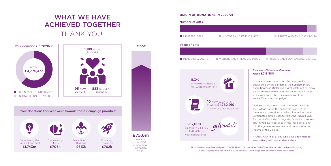

## WHAT WE HAVE ACHIEVED TOGETHER THANK YOU!



### **ORIGIN OF DONATIONS IN 2020/21**

#### This year's Telephone Campaign raised £213,380

In a year where student hardship was greatly aggravated by the pandemic, the Supplementary Exhibition Fund (SEF) was a vital safety net for many. This is an expendable fund that needs replenishing every year, so is often the main focus of our annual Telephone Campaign.

Understanding the financial challenges faced by the College during the pandemic, many of the members who received a call last December made unrestricted gifts in cash towards the Future Fund. This fund affords the College the flexibility to address any immediate need, or to invest these donations into the general endowment and boost the future income of the College.

THANK YOU to all of you who gave and engaged so positively with our student callers.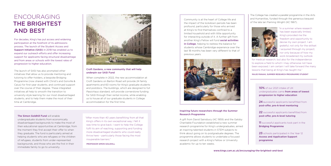Community is at the heart of College life and the impact of the lockdown periods has been profound, particularly for those who arrived at King's to find themselves confined to a limited household and with little opportunity for interacting outside of it. A further gift from another King's Fellow will fund social activities in College, helping to redress the balance for students whose Cambridge experience over the last 18 months has been very different to that of previous years.



## ENCOURAGING THE BRIGHTEST AND BEST

For decades, King's has put access and widening participation at the forefront of its admissions process. The launch of the Student Access and Support Initiative (SASI) in 2018 has enabled us to expand our outreach efforts and offer increasing support for applicants facing structural disadvantage and from areas or schools with the lowest rates of progression to higher education.

The launch of SASI has also prompted other initiatives that allow us to provide mentoring and tutoring to offer-holders, a bespoke Bridging Programme (now shared with Christ's and Gonville & Caius) for first-year students, and continued support over the course of their degree. These integrated initiatives all help to smooth the transition to university-style learning for our most disadvantaged students, and to help them make the most of their time at Cambridge.



#### Croft Gardens, a new community that will help underpin our SASI Fund

When complete in 2022, the new accommodation at Croft Gardens on Barton Road will provide 24 family apartments and 60 rooms for King's graduate students and postdocs. The buildings, which are designed to full *Passivhaus* standard, will provide cornerstone funding for SASI through their rental income, while enabling us to house all of our graduate students in College accommodation for the first time.

10% of our 2021 intake of UK undergraduates came from areas of lowest progression to higher education

24 successful applicants benefitted from post-offer, pre-A-level mentoring

22 successful applicants benefitted from post-offer, pre-A-level tutoring

11 successful applicants took part in the Bridging Programme

23 schools participated in the Year 12 Access and Application Support programme

The Simon Goldhill Fund will enable undergraduate students from economically disadvantaged backgrounds to make the most of their educational opportunities at Cambridge, from the moment they first accept their offer to when they graduate. The fund is particularly aimed at helping students who are refugees or the children of refugees, students from under-represented backgrounds, and those who are the first in their immediate family to go to university.

"After more than 40 years benefitting from all that King's offers in its own exceptional way, I felt it was time to give back. I want to help the College fulfil its aim of reaching, supporting and funding more disadvantaged students who could really thrive here – particularly those facing the most insuperable barriers."

PROFESSOR SIMON GOLDHILL

"In a summer where research has been especially limited, King's provided me the freedom and opportunity to devise my own project. I am grateful, not only for the skillset I acquired through my project; nor only because of how my work broadened my outlook

for medical research; but also for the independence to explore a field to which I may otherwise not have been exposed. I am certain I will take forward the many lessons that being at King's has taught me."

MAJID PANAHI, SUMMER RESEARCH PROGRAMME STUDENT

#### Inspiring future researchers through the Summer Research Programme

A gift from David Sainsbury (KC 1959) and the Gatsby Charitable Foundation established a new summer research programme for King's undergraduates, aimed at inspiring talented students in STEM subjects to think about going on to postgraduate degrees. The programme allows students to undertake a focused research project with a King's Fellow or University academic for up to ten weeks.

The College has created a parallel programme in the Arts and Humanities, funded through the generous bequest of the late Ian Fleming Wright (KC 1967).

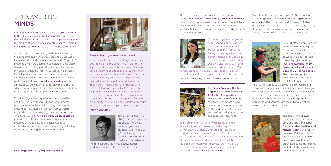The King's College / Hartley Rogers CBSO Scholarships in Orchestral Composition have allowed two more Cambridge students to compose a new work for the world-renowned CBSO and to hear it rehearsed and professionally recorded in two separate workshops.

"To be able to sit in a room with seventy or eighty (socially-distanced) players from the City of Birmingham Symphony Orchestra to hear these students' scores come to life for the first time was a really extraordinary moment. It was a huge affirmation of the value of our workshops and an absolute high point for these young composers – not only of their time at Cambridge, but of their whole musical education." PROFESSOR RICHARD CAUSTON

Student hardship has been greatly exacerbated by the pandemic and hence there has been a dramatic increase in demands on our existing funds. Those PhD students who were unable to complete in time often overran their funding period and found themselves in financial difficulty. This is why last year, alongside the Telephone Campaign, we launched our first email campaign to raise funds for student support, with a particular emphasis on **graduate hardship**. A total of almost £50,000 was donated by alumni and friends which is now helping those in greatest need. Thank you for your quick response to our call for action!

### EMPOWERING MINDS

King's academics engage in world-changing research, both individually and collectively, and teach the thinkers that will shape our future. Yet with the pandemic came the closure of labs, libraries and other spaces, forcing many to delay their research or abandon it altogether.

"Although my life at King's has been shaped around research, it has been much more than that, despite the restrictions. Eating in the magnificent Hall, punting, sitting at the banks to read and enjoy the view… King's was a magical place even when **it was mostly shut down. The** 

The declining availability of grants at both MPhil and PhD level, combined with the insecurity that graduates can be faced with during their studies, present barriers that are known to actively deter talented students from going on to further research. Two generous gifts towards graduate studentships are helping us tackle these inequities and enable students without existing financial means to undertake further study without the worry of having to assemble funding from disparate sources.

human connection was also there, especially given I haven't been able to go back home since I first arrived." CEREN KOCAOĞULLAR, TPP ALAN TURING SCHOLAR 2020/21



Thanks to the generous donations from corporate donors The Phoenix Partnership (TPP) and Enactor we were able to create a series of Alan Turing Studentships which have attracted some of the most promising young scholars from around the world to study at King's for an MPhil or a PhD.





Responding to graduate student need

"I was a graduate student at King's in the early 90s, doing a History of Art PhD. I had no family support and know all too well how difficult and time-consuming it is to raise money from many different funding bodies. Writing a PhD without a financial safety net is hard. The pandemic has had a major impact on graduate students in particular – there are a lot of people who could fall through the cracks if we are unable to help them. I have been tremendously inspired by so much of what King's has been doing in recent years, from student support to fantastic biodiversity initiatives like the wildflower meadow, and I'm proud and happy to be able to give back." TANJA WEINGÄRTNER



Tanja Weingärtner (KC 1994) is a contemporary art advisor. As a new donor to graduate student support, Tanja's gift has leveraged a matched amount from the Harding Challenge

Fund to support the most disadvantaged students across the Collegiate University.

A gift from Gavin Oldham (Trinity 1968) is funding a new programme of research to study **egalitarian** economics. The gift will support a Research Fellow and a PhD student, both to be based at King's, looking at intergenerational wealth transfer, education and training, disintermediation and mass ownership.



In 2020, after completing her PhD in Zoology, Dr Sophia Cooke was appointed a College Research Associate to work on a post-doctoral research project entitled 'Working towards the UN's Sustainable Development Goals (SDGs) in Galápagos'. The three-year project – generously funded by the Evolution Education Trust

– is allowing Sophia to work with policy-makers and conservation organisations to support the archipelago's aim of achieving its targets. Sophia has already helped to set up the new Galápagos Hub for Sustainability, Innovation and Resilience, has run participatory workshops, and assisted with the publication of the Governing Council's 2030 Plan.



The sales of wildflower meadow seeds have also provided additional funds for the Student Welfare and Mental Health Fund, which improves College provision and ready access to mental health services. If you purchased some, do keep us posted with how your minimeadows develop!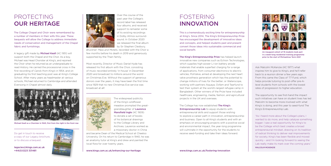The widespread publicity of the King's wildflower meadow prompted the greatgranddaughter of Laurence Mansfield Ingle (KC 1909) to donate a set of books of his botanical drawings to the College Library and Archives. Laurence worked as a missionary doctor in China

and became Dean of the Medical School at Cheeloo University. On his return to Cambridge in 1940, he was an anatomy tutor at King's and drew and painted the local flora for over twenty years.

This is a tremendously exciting time for entrepreneurship at King's. Since 2014, The King's Entrepreneurship Prize has encouraged the development of innovative ideas and concepts, and helped students past and present convert those ideas into sustainable commercial and social benefit.

The King's Entrepreneurship Prize has helped launch innovative new companies such as Echion Technologies, which supplies high-power Li-ion battery anode materials that enable superfast charging for a range of applications, from consumer electronics to electric vehicles; PoliValve, aimed at developing the next heart valve prosthesis generation which has the potential to change millions of lives for the better; or Waterscope, working with partners Aquaya, Oxfam and Tearfund to test their system at the world's largest refugee camp in Bangladesh. Other winners of the Prize have included healthcare, engineering, media, fashion, and agricultural projects in the UK and overseas.

The College has now established The King's **Entrepreneurship Lab** to equip students with entrepreneurial skills and support those wishing to explore a career path in innovation, entrepreneurship and business. Open to all King's students and with an emphasis on encouraging projects with a positive social and environmental impact, the year-long programme will culminate in the opportunity for the students to receive seed-funding and take their ideas forward.

A legacy gift made by Michael Keall (KC 1951) will support both the Chapel and the Choir. As a boy, Michael was Head Chorister at King's, and rejoined the Choir when he returned as an undergraduate to read History. He carried the processional cross in the first recording of *Carols from King's* in 1954, and on graduating his first teaching post was at King's College School. After many years as headmaster at various schools, Michael returned to Cambridge and attended Evensong in Chapel almost daily.

## PROTECTING OUR HERITAGE

### FOSTERING INNOVATION

The College Chapel and Choir were remembered by a number of members in their wills this year. These bequests will allow the College to address immediate needs of conservation and management of the Chapel fabric and furnishings.

Over the course of the past year the College's record label has released four albums, and received support to remaster some of its existing recordings in Dolby Atmos surroundsound. In October 2020 we released the final album by Sir Stephen Cleobury,

*Bruckner: Mass and Motets,* recorded with the Choir a few months before his death in 2019 and generously supported by the Thain family.

Most recently, Director of Music Daniel Hyde has released his first album with the Choir, consisting of music recorded entirely 'in-house' in December 2020 and broadcast to millions around the world on Christmas Eve. Without the support of generous donors over the years, it may have been the first time since 1929 that no new Christmas Eve service was broadcast at all!



www.kings.cam.ac.uk/enhancing-our-heritage www.kings.cam.ac.uk/fostering-innovation



Michael Keall as a Chorister in 1943, first from the right in the front row

Do get in touch to receive a copy of our Legacy brochure, or to discuss a bequest.

legacies@kings.cam.ac.uk +44(0)1223 331481



An inaugural cohort of 19 students took part in a week-long residential training programme prior to the start of Michaelmas Term 2021

Ask Malcolm McKenzie (KC 1977) what inspires him to give to King's, and he'll refer back to a reunion dinner a few years ago. From this came the Class of '77 Fund, which helps provide tutoring to post-offer pre-Alevel students from schools with the lowest rates of progression to higher education.

The opportunity to see first-hand the impact such initiatives can have on student lives has led Malcolm to become more involved with what King's is doing, and this year to seed-fund The King's Entrepreneurship Lab.

"As I heard more about the College's plans, I wanted to do more, and help catalyse something bigger. I saw a real opportunity for King's to be the College which best creates a broad entrepreneurial mindset, drawing on its tradition of radical thinking to deliver real improvements for society. King's has been flexible and moved quickly – and I'm looking forward to seeing the Lab really make its mark over the coming years."